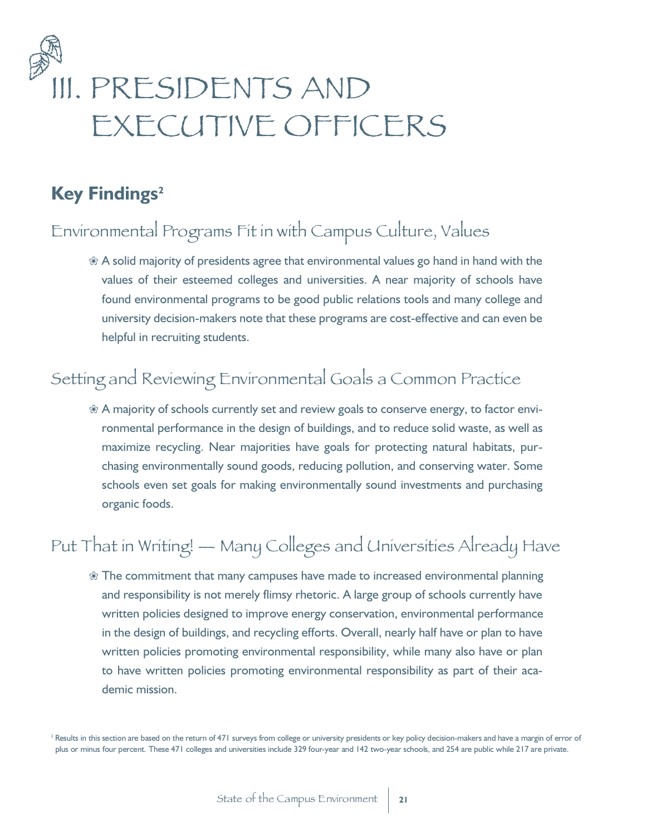# III. PRESIDENTS AND EXECUTIVE OFFICERS

# **Key Findings<sup>2</sup>**

# Environmental Programs Fit in with Campus Culture, Values

 $\&$  A solid majority of presidents agree that environmental values go hand in hand with the values of their esteemed colleges and universities. A near majority of schools have found environmental programs to be good public relations tools and many college and university decision-makers note that these programs are cost-effective and can even be helpful in recruiting students.

# Setting and Reviewing Environmental Goals a Common Practice

 $% A$  majority of schools currently set and review goals to conserve energy, to factor environmental performance in the design of buildings, and to reduce solid waste, as well as maximize recycling. Near majorities have goals for protecting natural habitats, purchasing environmentally sound goods, reducing pollution, and conserving water. Some schools even set goals for making environmentally sound investments and purchasing organic foods.

# Put That in Writing! — Many Colleges and Universities Already Have

 $\%$  The commitment that many campuses have made to increased environmental planning and responsibility is not merely flimsy rhetoric. A large group of schools currently have written policies designed to improve energy conservation, environmental performance in the design of buildings, and recycling efforts. Overall, nearly half have or plan to have written policies promoting environmental responsibility, while many also have or plan to have written policies promoting environmental responsibility as part of their academic mission.

<sup>&</sup>lt;sup>2</sup> Results in this section are based on the return of 471 surveys from college or university presidents or key policy decision-makers and have a margin of error of plus or minus four percent. These 471 colleges and universities include 329 four-year and 142 two-year schools, and 254 are public while 217 are private.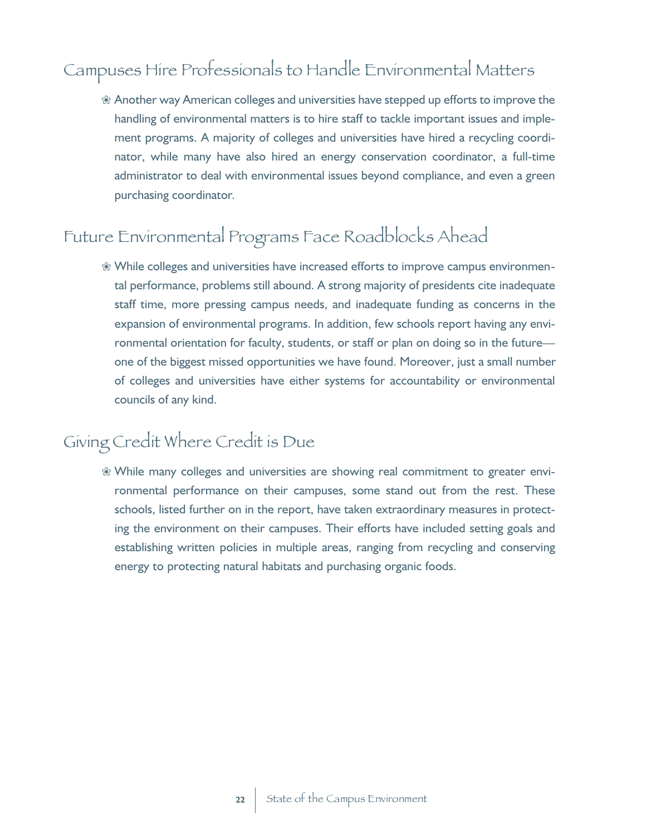# Campuses Hire Professionals to Handle Environmental Matters

 $%$  Another way American colleges and universities have stepped up efforts to improve the handling of environmental matters is to hire staff to tackle important issues and implement programs. A majority of colleges and universities have hired a recycling coordinator, while many have also hired an energy conservation coordinator, a full-time administrator to deal with environmental issues beyond compliance, and even a green purchasing coordinator.

# Future Environmental Programs Face Roadblocks Ahead

 $%$  While colleges and universities have increased efforts to improve campus environmental performance, problems still abound. A strong majority of presidents cite inadequate staff time, more pressing campus needs, and inadequate funding as concerns in the expansion of environmental programs. In addition, few schools report having any environmental orientation for faculty, students, or staff or plan on doing so in the future one of the biggest missed opportunities we have found. Moreover, just a small number of colleges and universities have either systems for accountability or environmental councils of any kind.

# Giving Credit Where Credit is Due

 $%$  While many colleges and universities are showing real commitment to greater environmental performance on their campuses, some stand out from the rest. These schools, listed further on in the report, have taken extraordinary measures in protecting the environment on their campuses. Their efforts have included setting goals and establishing written policies in multiple areas, ranging from recycling and conserving energy to protecting natural habitats and purchasing organic foods.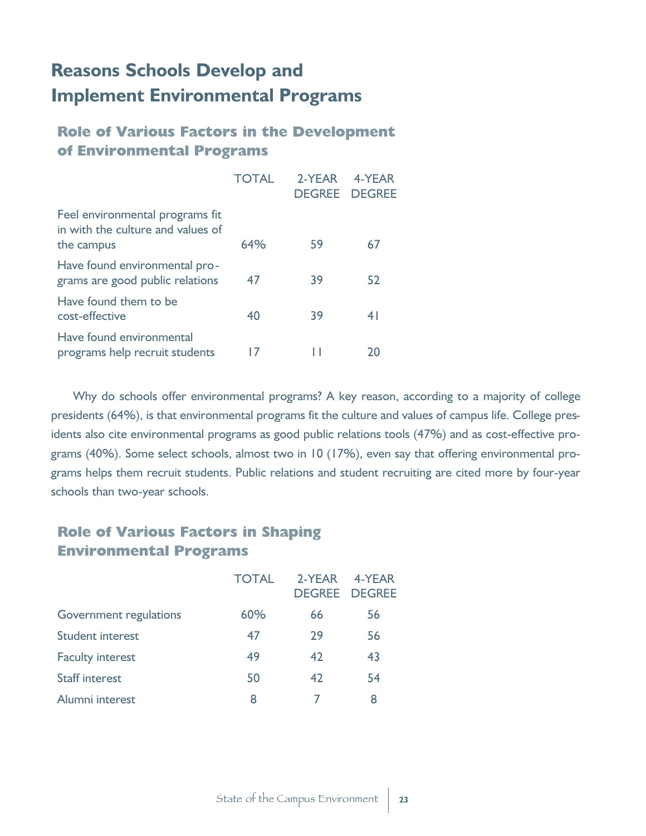# **Reasons Schools Develop and Implement Environmental Programs**

# **Role of Various Factors in the Development of Environmental Programs**

|                                                                                    | <b>TOTAL</b> | 2-YFAR<br><b>DEGREE DEGREE</b> | 4-YFAR |
|------------------------------------------------------------------------------------|--------------|--------------------------------|--------|
| Feel environmental programs fit<br>in with the culture and values of<br>the campus | 64%          | 59                             | 67     |
| Have found environmental pro-<br>grams are good public relations                   | 47           | 39                             | 52     |
| Have found them to be<br>cost-effective                                            | 40           | 39                             | 41     |
| Have found environmental<br>programs help recruit students                         |              |                                | 20     |

Why do schools offer environmental programs? A key reason, according to a majority of college presidents (64%), is that environmental programs fit the culture and values of campus life. College presidents also cite environmental programs as good public relations tools (47%) and as cost-effective programs (40%). Some select schools, almost two in 10 (17%), even say that offering environmental programs helps them recruit students. Public relations and student recruiting are cited more by four-year schools than two-year schools.

## **Role of Various Factors in Shaping Environmental Programs**

|                         | <b>TOTAL</b> | 2-YFAR | 4-YFAR<br><b>DEGREE DEGREE</b> |
|-------------------------|--------------|--------|--------------------------------|
| Government regulations  | 60%          | 66     | 56                             |
| <b>Student interest</b> | 47           | 29     | 56                             |
| <b>Faculty interest</b> | 49           | 42     | 43                             |
| <b>Staff interest</b>   | 50           | 42     | 54                             |
| Alumni interest         | 8            |        | 8                              |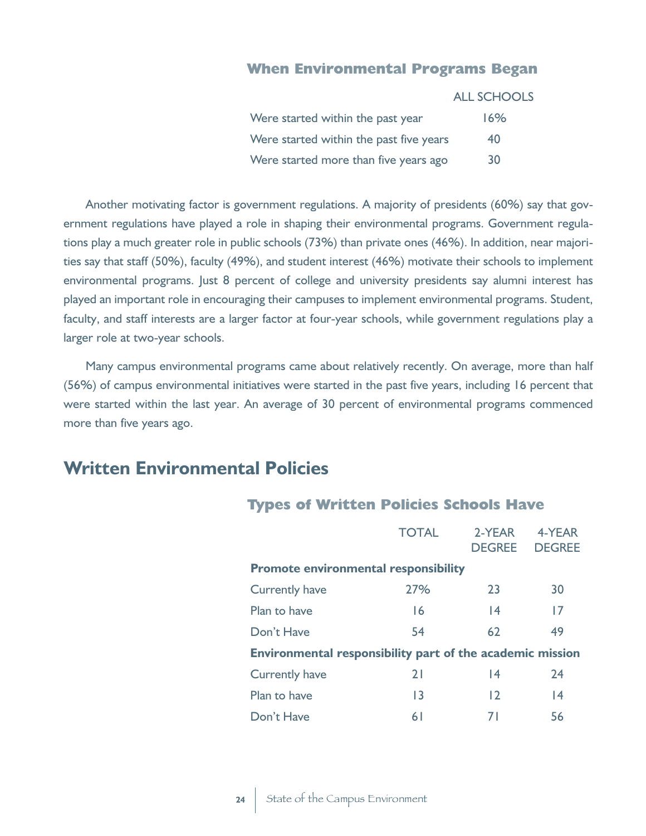#### **When Environmental Programs Began**

|                                         | <b>ALL SCHOOLS</b> |
|-----------------------------------------|--------------------|
| Were started within the past year       | 16%                |
| Were started within the past five years | 40                 |
| Were started more than five years ago   | 30                 |

Another motivating factor is government regulations. A majority of presidents (60%) say that government regulations have played a role in shaping their environmental programs. Government regulations play a much greater role in public schools (73%) than private ones (46%). In addition, near majorities say that staff (50%), faculty (49%), and student interest (46%) motivate their schools to implement environmental programs. Just 8 percent of college and university presidents say alumni interest has played an important role in encouraging their campuses to implement environmental programs. Student, faculty, and staff interests are a larger factor at four-year schools, while government regulations play a larger role at two-year schools.

Many campus environmental programs came about relatively recently. On average, more than half (56%) of campus environmental initiatives were started in the past five years, including 16 percent that were started within the last year. An average of 30 percent of environmental programs commenced more than five years ago.

# **Written Environmental Policies**

#### **Types of Written Policies Schools Have**

|                                                           | <b>TOTAL</b>    | 2-YEAR<br><b>DEGREE</b> | 4-YEAR<br><b>DEGREE</b> |
|-----------------------------------------------------------|-----------------|-------------------------|-------------------------|
| <b>Promote environmental responsibility</b>               |                 |                         |                         |
| <b>Currently have</b>                                     | 27%             | 23                      | 30                      |
| Plan to have                                              | 16              | $\overline{14}$         | 17                      |
| Don't Have                                                | 54              | 62                      | 49                      |
| Environmental responsibility part of the academic mission |                 |                         |                         |
| <b>Currently have</b>                                     | 21              | 4                       | 24                      |
| Plan to have                                              | $\overline{13}$ | 12                      | 4                       |
| Don't Have                                                | 6 <sup>1</sup>  | 71                      | 56                      |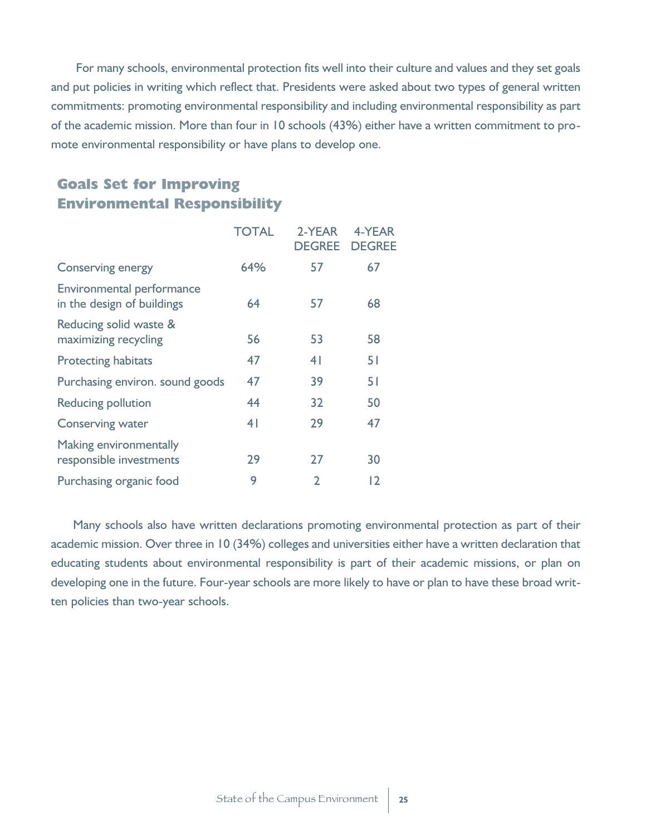For many schools, environmental protection fits well into their culture and values and they set goals and put policies in writing which reflect that. Presidents were asked about two types of general written commitments: promoting environmental responsibility and including environmental responsibility as part of the academic mission. More than four in 10 schools (43%) either have a written commitment to promote environmental responsibility or have plans to develop one.

# **Goals Set for Improving Environmental Responsibility**

|                                                         | <b>TOTAL</b>   | 2-YEAR<br><b>DEGREE</b> | 4-YEAR<br><b>DEGREE</b> |
|---------------------------------------------------------|----------------|-------------------------|-------------------------|
| <b>Conserving energy</b>                                | 64%            | 57                      | 67                      |
| Environmental performance<br>in the design of buildings | 64             | 57                      | 68                      |
| Reducing solid waste &<br>maximizing recycling          | 56             | 53                      | 58                      |
| <b>Protecting habitats</b>                              | 47             | 4 <sup>1</sup>          | 51                      |
| Purchasing environ. sound goods                         | 47             | 39                      | 51                      |
| <b>Reducing pollution</b>                               | 44             | 32                      | 50                      |
| <b>Conserving water</b>                                 | 4 <sub>1</sub> | 29                      | 47                      |
| Making environmentally<br>responsible investments       | 29             | 27                      | 30                      |
| Purchasing organic food                                 | 9              | $\mathfrak{p}$          | $\overline{2}$          |
|                                                         |                |                         |                         |

Many schools also have written declarations promoting environmental protection as part of their academic mission. Over three in 10 (34%) colleges and universities either have a written declaration that educating students about environmental responsibility is part of their academic missions, or plan on developing one in the future. Four-year schools are more likely to have or plan to have these broad written policies than two-year schools.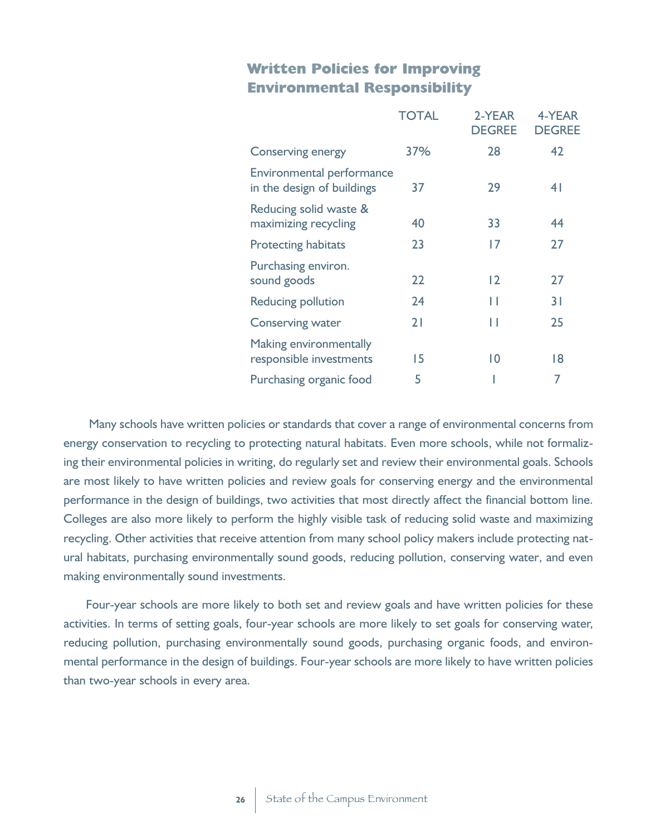## **Written Policies for Improving Environmental Responsibility**

|                                                         | <b>TOTAL</b> | 2-YEAR<br><b>DEGREE</b> | 4-YEAR<br><b>DEGREE</b> |
|---------------------------------------------------------|--------------|-------------------------|-------------------------|
| <b>Conserving energy</b>                                | 37%          | 28                      | 42                      |
| Environmental performance<br>in the design of buildings | 37           | 29                      | 4 <sup>1</sup>          |
| Reducing solid waste &<br>maximizing recycling          | 40           | 33                      | 44                      |
| <b>Protecting habitats</b>                              | 23           | 17                      | 27                      |
| Purchasing environ.<br>sound goods                      | 22           | 12                      | 27                      |
| <b>Reducing pollution</b>                               | 24           | Н                       | 31                      |
| <b>Conserving water</b>                                 | 21           | П                       | 25                      |
| Making environmentally<br>responsible investments       | 15           | $\overline{0}$          | 18                      |
| Purchasing organic food                                 | 5            |                         | 7                       |

Many schools have written policies or standards that cover a range of environmental concerns from energy conservation to recycling to protecting natural habitats. Even more schools, while not formalizing their environmental policies in writing, do regularly set and review their environmental goals. Schools are most likely to have written policies and review goals for conserving energy and the environmental performance in the design of buildings, two activities that most directly affect the financial bottom line. Colleges are also more likely to perform the highly visible task of reducing solid waste and maximizing recycling. Other activities that receive attention from many school policy makers include protecting natural habitats, purchasing environmentally sound goods, reducing pollution, conserving water, and even making environmentally sound investments.

Four-year schools are more likely to both set and review goals and have written policies for these activities. In terms of setting goals, four-year schools are more likely to set goals for conserving water, reducing pollution, purchasing environmentally sound goods, purchasing organic foods, and environmental performance in the design of buildings. Four-year schools are more likely to have written policies than two-year schools in every area.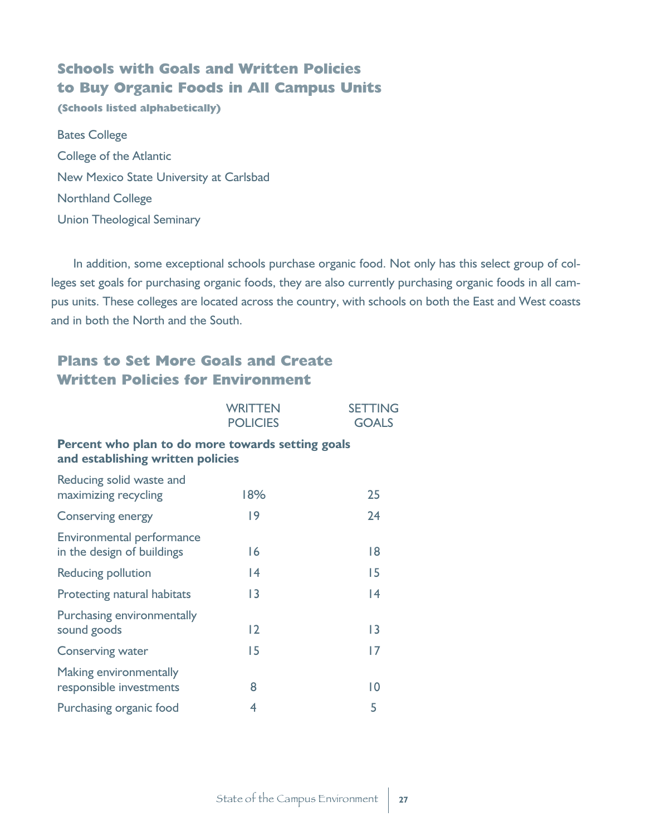# **Schools with Goals and Written Policies to Buy Organic Foods in All Campus Units**

**(Schools listed alphabetically)**

Bates College College of the Atlantic New Mexico State University at Carlsbad Northland College Union Theological Seminary

In addition, some exceptional schools purchase organic food. Not only has this select group of colleges set goals for purchasing organic foods, they are also currently purchasing organic foods in all campus units. These colleges are located across the country, with schools on both the East and West coasts and in both the North and the South.

# **Plans to Set More Goals and Create Written Policies for Environment**

|                                                                                        | <b>WRITTEN</b><br><b>POLICIES</b> | <b>SETTING</b><br><b>GOALS</b> |
|----------------------------------------------------------------------------------------|-----------------------------------|--------------------------------|
| Percent who plan to do more towards setting goals<br>and establishing written policies |                                   |                                |
| Reducing solid waste and<br>maximizing recycling                                       | 18%                               | 25                             |
| <b>Conserving energy</b>                                                               | 9                                 | 24                             |
| Environmental performance<br>in the design of buildings                                | 16                                | 18                             |
| Reducing pollution                                                                     | $\overline{14}$                   | 15                             |
| Protecting natural habitats                                                            | 3                                 | 4                              |
| Purchasing environmentally<br>sound goods                                              | 2                                 | 3                              |
| <b>Conserving water</b>                                                                | 15                                | 17                             |
| Making environmentally<br>responsible investments                                      | 8                                 | $\overline{0}$                 |
| Purchasing organic food                                                                | 4                                 | 5                              |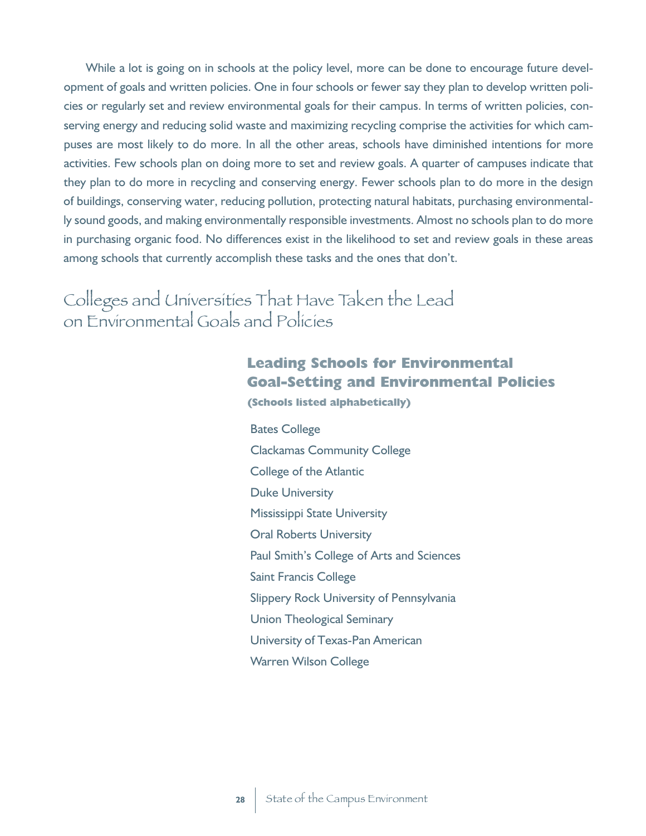While a lot is going on in schools at the policy level, more can be done to encourage future development of goals and written policies. One in four schools or fewer say they plan to develop written policies or regularly set and review environmental goals for their campus. In terms of written policies, conserving energy and reducing solid waste and maximizing recycling comprise the activities for which campuses are most likely to do more. In all the other areas, schools have diminished intentions for more activities. Few schools plan on doing more to set and review goals. A quarter of campuses indicate that they plan to do more in recycling and conserving energy. Fewer schools plan to do more in the design of buildings, conserving water, reducing pollution, protecting natural habitats, purchasing environmentally sound goods, and making environmentally responsible investments. Almost no schools plan to do more in purchasing organic food. No differences exist in the likelihood to set and review goals in these areas among schools that currently accomplish these tasks and the ones that don't.

Colleges and Universities That Have Taken the Lead on Environmental Goals and Policies

## **Leading Schools for Environmental Goal-Setting and Environmental Policies (Schools listed alphabetically)**

Bates College Clackamas Community College College of the Atlantic Duke University Mississippi State University Oral Roberts University Paul Smith's College of Arts and Sciences Saint Francis College Slippery Rock University of Pennsylvania Union Theological Seminary University of Texas-Pan American Warren Wilson College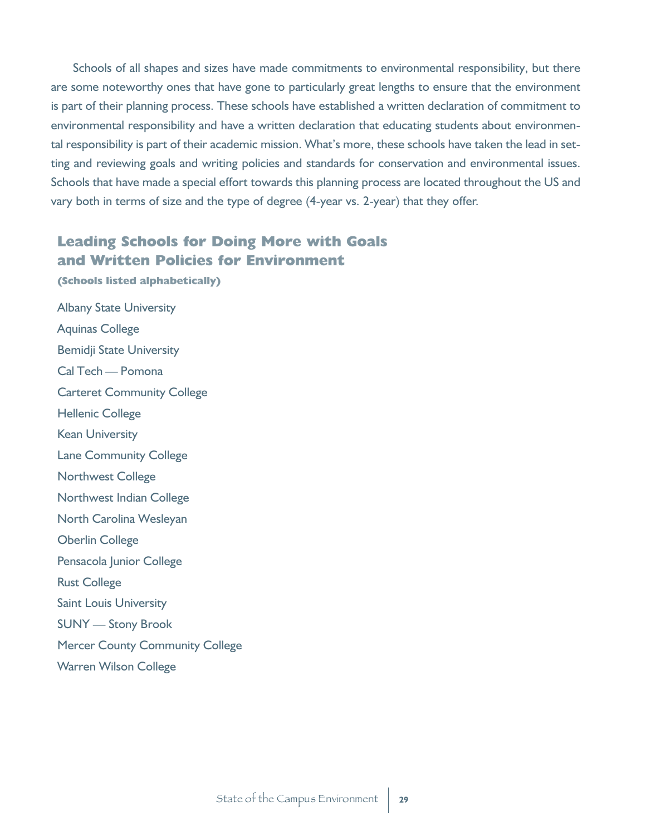Schools of all shapes and sizes have made commitments to environmental responsibility, but there are some noteworthy ones that have gone to particularly great lengths to ensure that the environment is part of their planning process. These schools have established a written declaration of commitment to environmental responsibility and have a written declaration that educating students about environmental responsibility is part of their academic mission. What's more, these schools have taken the lead in setting and reviewing goals and writing policies and standards for conservation and environmental issues. Schools that have made a special effort towards this planning process are located throughout the US and vary both in terms of size and the type of degree (4-year vs. 2-year) that they offer.

## **Leading Schools for Doing More with Goals and Written Policies for Environment**

**(Schools listed alphabetically)** Albany State University Aquinas College Bemidji State University Cal Tech — Pomona Carteret Community College Hellenic College Kean University Lane Community College Northwest College Northwest Indian College North Carolina Wesleyan Oberlin College Pensacola Junior College Rust College Saint Louis University SUNY — Stony Brook Mercer County Community College Warren Wilson College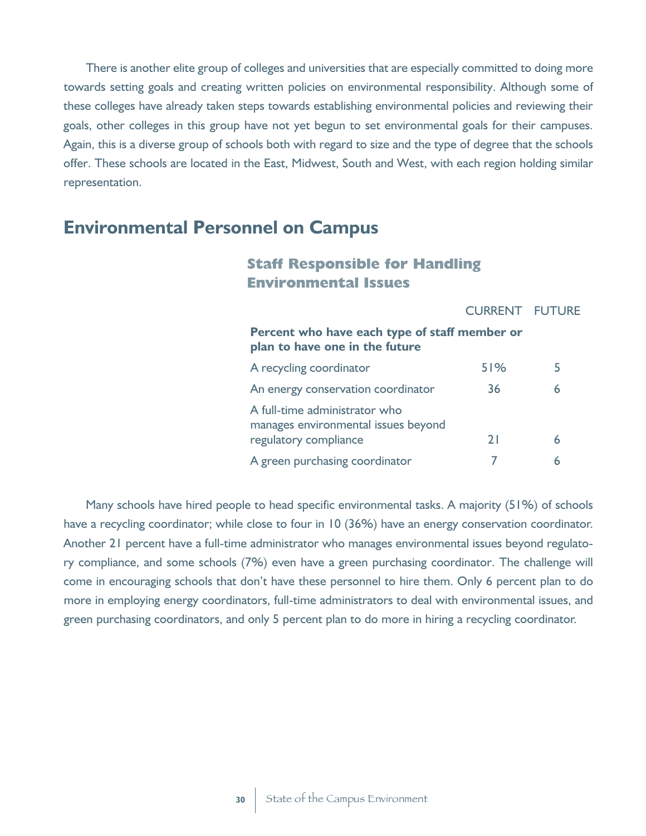There is another elite group of colleges and universities that are especially committed to doing more towards setting goals and creating written policies on environmental responsibility. Although some of these colleges have already taken steps towards establishing environmental policies and reviewing their goals, other colleges in this group have not yet begun to set environmental goals for their campuses. Again, this is a diverse group of schools both with regard to size and the type of degree that the schools offer. These schools are located in the East, Midwest, South and West, with each region holding similar representation.

# **Environmental Personnel on Campus**

#### **Staff Responsible for Handling Environmental Issues**

CURRENT FUTURE

#### **Percent who have each type of staff member or plan to have one in the future** A recycling coordinator 51% 51%

| $\sim$ . Tech can be coordinated.                                                             |    |  |
|-----------------------------------------------------------------------------------------------|----|--|
| An energy conservation coordinator                                                            | 36 |  |
| A full-time administrator who<br>manages environmental issues beyond<br>regulatory compliance | 71 |  |
| A green purchasing coordinator                                                                |    |  |

Many schools have hired people to head specific environmental tasks. A majority (51%) of schools have a recycling coordinator; while close to four in 10 (36%) have an energy conservation coordinator. Another 21 percent have a full-time administrator who manages environmental issues beyond regulatory compliance, and some schools (7%) even have a green purchasing coordinator. The challenge will come in encouraging schools that don't have these personnel to hire them. Only 6 percent plan to do more in employing energy coordinators, full-time administrators to deal with environmental issues, and green purchasing coordinators, and only 5 percent plan to do more in hiring a recycling coordinator.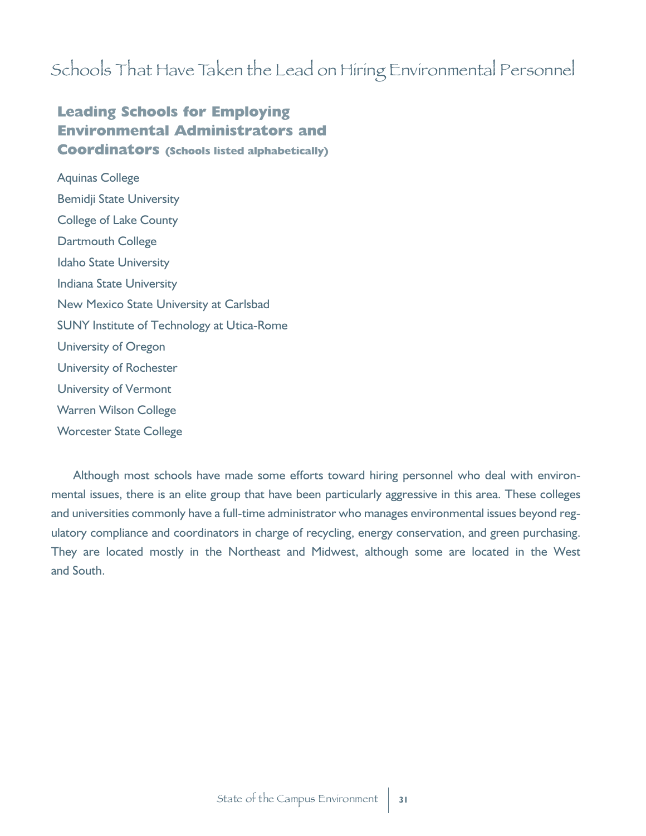# Schools That Have Taken the Lead on Hiring Environmental Personnel

# **Leading Schools for Employing Environmental Administrators and Coordinators (Schools listed alphabetically)**

Aquinas College Bemidji State University College of Lake County Dartmouth College Idaho State University Indiana State University New Mexico State University at Carlsbad SUNY Institute of Technology at Utica-Rome University of Oregon University of Rochester University of Vermont Warren Wilson College Worcester State College

Although most schools have made some efforts toward hiring personnel who deal with environmental issues, there is an elite group that have been particularly aggressive in this area. These colleges and universities commonly have a full-time administrator who manages environmental issues beyond regulatory compliance and coordinators in charge of recycling, energy conservation, and green purchasing. They are located mostly in the Northeast and Midwest, although some are located in the West and South.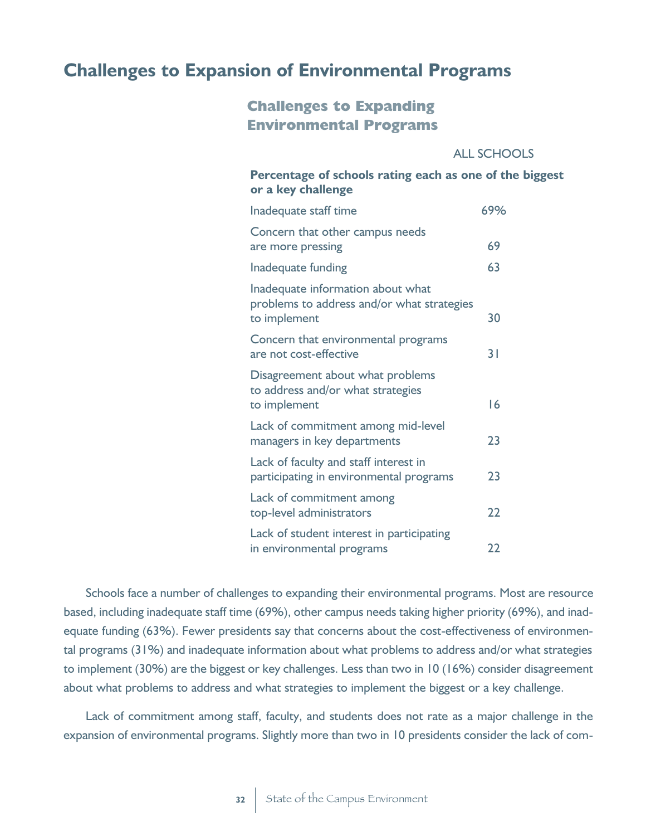# **Challenges to Expansion of Environmental Programs**

## **Challenges to Expanding Environmental Programs**

#### ALL SCHOOLS

### **Percentage of schools rating each as one of the biggest or a key challenge**

| Inadequate staff time                                                                           | 69% |
|-------------------------------------------------------------------------------------------------|-----|
| Concern that other campus needs<br>are more pressing                                            | 69  |
| Inadequate funding                                                                              | 63  |
| Inadequate information about what<br>problems to address and/or what strategies<br>to implement | 30  |
| Concern that environmental programs<br>are not cost-effective                                   | 31  |
| Disagreement about what problems<br>to address and/or what strategies<br>to implement           | 16  |
| Lack of commitment among mid-level<br>managers in key departments                               | 23  |
| Lack of faculty and staff interest in<br>participating in environmental programs                | 23  |
| Lack of commitment among<br>top-level administrators                                            | 22  |
| Lack of student interest in participating<br>in environmental programs                          | 22  |

Schools face a number of challenges to expanding their environmental programs. Most are resource based, including inadequate staff time (69%), other campus needs taking higher priority (69%), and inadequate funding (63%). Fewer presidents say that concerns about the cost-effectiveness of environmental programs (31%) and inadequate information about what problems to address and/or what strategies to implement (30%) are the biggest or key challenges. Less than two in 10 (16%) consider disagreement about what problems to address and what strategies to implement the biggest or a key challenge.

Lack of commitment among staff, faculty, and students does not rate as a major challenge in the expansion of environmental programs. Slightly more than two in 10 presidents consider the lack of com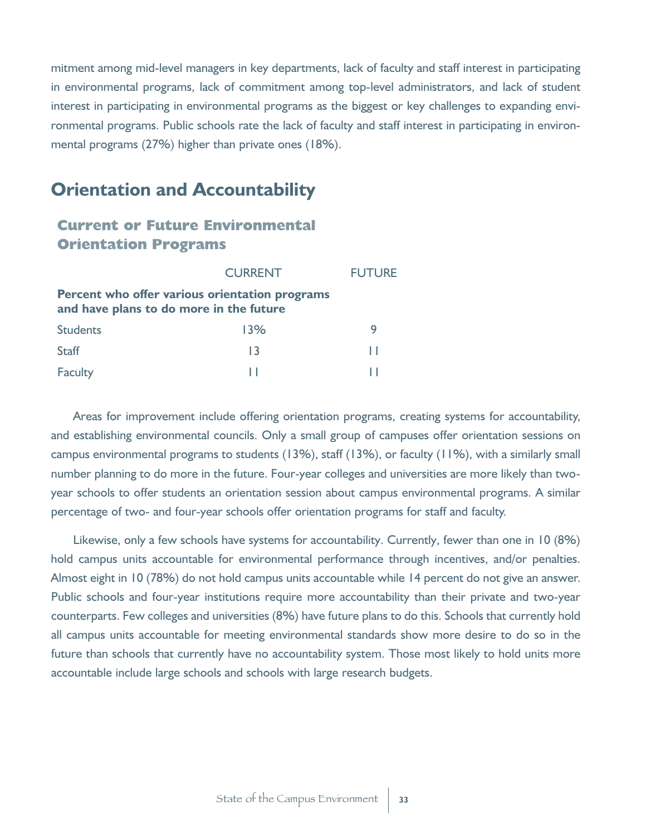mitment among mid-level managers in key departments, lack of faculty and staff interest in participating in environmental programs, lack of commitment among top-level administrators, and lack of student interest in participating in environmental programs as the biggest or key challenges to expanding environmental programs. Public schools rate the lack of faculty and staff interest in participating in environmental programs (27%) higher than private ones (18%).

# **Orientation and Accountability**

#### **Current or Future Environmental Orientation Programs**

|                                                                                           | <b>CURRENT</b> | <b>FUTURE</b> |  |
|-------------------------------------------------------------------------------------------|----------------|---------------|--|
| Percent who offer various orientation programs<br>and have plans to do more in the future |                |               |  |
| <b>Students</b>                                                                           | 13%            | 9             |  |
| <b>Staff</b>                                                                              | 13             | ш             |  |
| Faculty                                                                                   |                |               |  |

Areas for improvement include offering orientation programs, creating systems for accountability, and establishing environmental councils. Only a small group of campuses offer orientation sessions on campus environmental programs to students (13%), staff (13%), or faculty (11%), with a similarly small number planning to do more in the future. Four-year colleges and universities are more likely than twoyear schools to offer students an orientation session about campus environmental programs. A similar percentage of two- and four-year schools offer orientation programs for staff and faculty.

Likewise, only a few schools have systems for accountability. Currently, fewer than one in 10 (8%) hold campus units accountable for environmental performance through incentives, and/or penalties. Almost eight in 10 (78%) do not hold campus units accountable while 14 percent do not give an answer. Public schools and four-year institutions require more accountability than their private and two-year counterparts. Few colleges and universities (8%) have future plans to do this. Schools that currently hold all campus units accountable for meeting environmental standards show more desire to do so in the future than schools that currently have no accountability system. Those most likely to hold units more accountable include large schools and schools with large research budgets.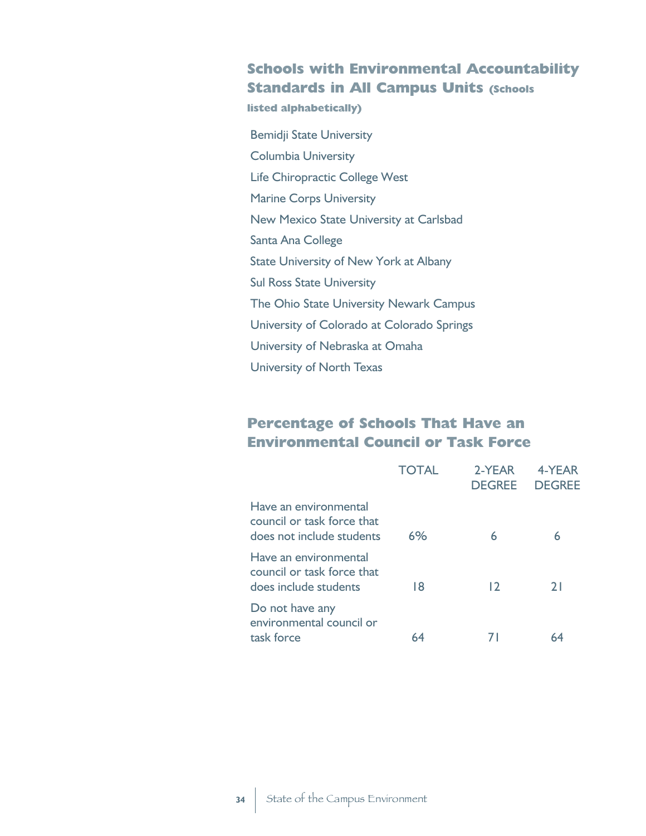## **Schools with Environmental Accountability Standards in All Campus Units (Schools**

**listed alphabetically)**

Bemidji State University Columbia University Life Chiropractic College West Marine Corps University New Mexico State University at Carlsbad Santa Ana College State University of New York at Albany Sul Ross State University The Ohio State University Newark Campus University of Colorado at Colorado Springs University of Nebraska at Omaha University of North Texas

## **Percentage of Schools That Have an Environmental Council or Task Force**

|                                                                                  | <b>TOTAL</b> | 2-YEAR<br><b>DEGREE</b> | 4-YFAR<br><b>DEGREE</b> |
|----------------------------------------------------------------------------------|--------------|-------------------------|-------------------------|
| Have an environmental<br>council or task force that<br>does not include students | 6%           | 6                       | 6                       |
| Have an environmental<br>council or task force that<br>does include students     | 18           | $\overline{12}$         | 2 I                     |
| Do not have any<br>environmental council or<br>task force                        | 64           |                         |                         |